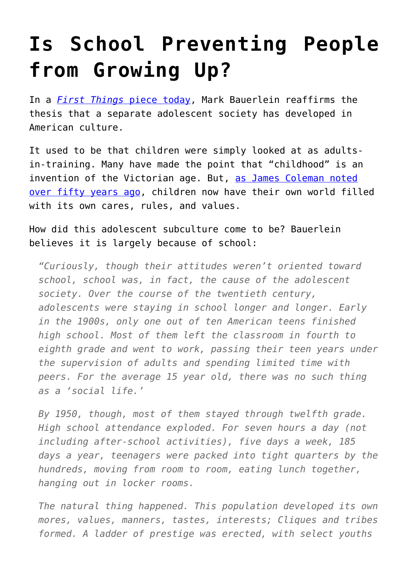## **[Is School Preventing People](https://intellectualtakeout.org/2015/10/is-school-preventing-people-from-growing-up/) [from Growing Up?](https://intellectualtakeout.org/2015/10/is-school-preventing-people-from-growing-up/)**

In a *[First Things](http://www.firstthings.com/blogs/firstthoughts/2015/10/james-coleman-leonard-sax-and-age-segregation)* [piece today](http://www.firstthings.com/blogs/firstthoughts/2015/10/james-coleman-leonard-sax-and-age-segregation), Mark Bauerlein reaffirms the thesis that a separate adolescent society has developed in American culture.

It used to be that children were simply looked at as adultsin-training. Many have made the point that "childhood" is an invention of the Victorian age. But, [as James Coleman noted](http://amzn.to/1PXdJSJ) [over fifty years ago](http://amzn.to/1PXdJSJ), children now have their own world filled with its own cares, rules, and values.

How did this adolescent subculture come to be? Bauerlein believes it is largely because of school:

*"Curiously, though their attitudes weren't oriented toward school, school was, in fact, the cause of the adolescent society. Over the course of the twentieth century, adolescents were staying in school longer and longer. Early in the 1900s, only one out of ten American teens finished high school. Most of them left the classroom in fourth to eighth grade and went to work, passing their teen years under the supervision of adults and spending limited time with peers. For the average 15 year old, there was no such thing as a 'social life.'*

*By 1950, though, most of them stayed through twelfth grade. High school attendance exploded. For seven hours a day (not including after-school activities), five days a week, 185 days a year, teenagers were packed into tight quarters by the hundreds, moving from room to room, eating lunch together, hanging out in locker rooms.*

*The natural thing happened. This population developed its own mores, values, manners, tastes, interests; Cliques and tribes formed. A ladder of prestige was erected, with select youths*